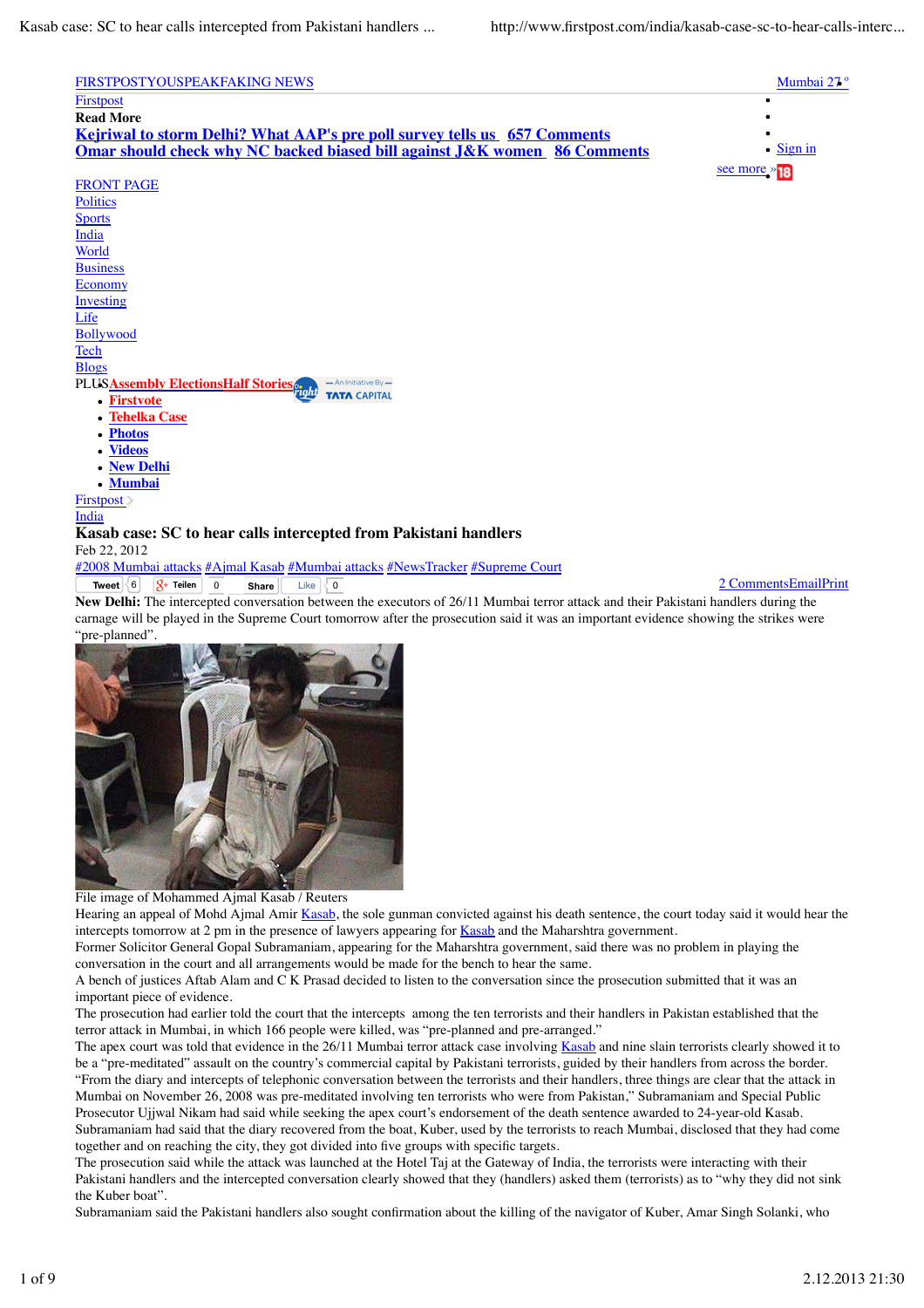

**Firstvote**

PLUS**Assembly Elections Half Stories**

- **Tehelka Case**
- **Photos**  $\bullet$
- **Videos**
- **New Delhi**  $\bullet$
- **Mumbai**

Firstpost >

India

## **Kasab case: SC to hear calls intercepted from Pakistani handlers** Feb 22, 2012

**Tweet**  $\begin{bmatrix} 6 \\ 6 \end{bmatrix}$   $\begin{bmatrix} 8 \\ 1 \end{bmatrix}$  **Teilen 0 Share** Like  $\begin{bmatrix} 0 \\ 0 \end{bmatrix}$  **1 Comments** EmailPrint #2008 Mumbai attacks #Ajmal Kasab #Mumbai attacks #NewsTracker #Supreme Court **Like**  $\overline{\left\{0\right\}}$ 

**TATA CAPITAL** 

**New Delhi:** The intercepted conversation between the executors of 26/11 Mumbai terror attack and their Pakistani handlers during the carnage will be played in the Supreme Court tomorrow after the prosecution said it was an important evidence showing the strikes were "pre-planned".





Hearing an appeal of Mohd Ajmal Amir Kasab, the sole gunman convicted against his death sentence, the court today said it would hear the intercepts tomorrow at 2 pm in the presence of lawyers appearing for Kasab and the Maharshtra government.

Former Solicitor General Gopal Subramaniam, appearing for the Maharshtra government, said there was no problem in playing the conversation in the court and all arrangements would be made for the bench to hear the same.

A bench of justices Aftab Alam and C K Prasad decided to listen to the conversation since the prosecution submitted that it was an important piece of evidence.

The prosecution had earlier told the court that the intercepts among the ten terrorists and their handlers in Pakistan established that the terror attack in Mumbai, in which 166 people were killed, was "pre-planned and pre-arranged."

The apex court was told that evidence in the 26/11 Mumbai terror attack case involving Kasab and nine slain terrorists clearly showed it to be a "pre-meditated" assault on the country's commercial capital by Pakistani terrorists, guided by their handlers from across the border. "From the diary and intercepts of telephonic conversation between the terrorists and their handlers, three things are clear that the attack in Mumbai on November 26, 2008 was pre-meditated involving ten terrorists who were from Pakistan," Subramaniam and Special Public Prosecutor Ujjwal Nikam had said while seeking the apex court's endorsement of the death sentence awarded to 24-year-old Kasab. Subramaniam had said that the diary recovered from the boat, Kuber, used by the terrorists to reach Mumbai, disclosed that they had come together and on reaching the city, they got divided into five groups with specific targets.

The prosecution said while the attack was launched at the Hotel Taj at the Gateway of India, the terrorists were interacting with their Pakistani handlers and the intercepted conversation clearly showed that they (handlers) asked them (terrorists) as to "why they did not sink the Kuber boat".

Subramaniam said the Pakistani handlers also sought confirmation about the killing of the navigator of Kuber, Amar Singh Solanki, who